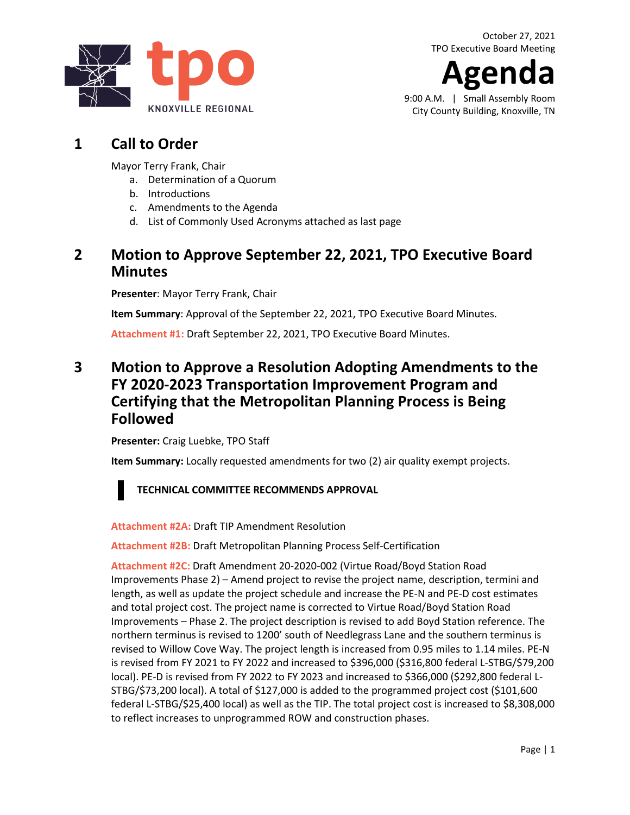**Agenda**

9:00 A.M. | Small Assembly Room City County Building, Knoxville, TN

# **1 Call to Order**

Mayor Terry Frank, Chair

- a. Determination of a Quorum
- b. Introductions
- c. Amendments to the Agenda
- d. List of Commonly Used Acronyms attached as last page

## **2 Motion to Approve September 22, 2021, TPO Executive Board Minutes**

**Presenter**: Mayor Terry Frank, Chair

**Item Summary**: Approval of the September 22, 2021, TPO Executive Board Minutes.

**[Attachment #1:](https://knoxtpo.org/home/meetings/exec/minutes/2021/september.pdf)** Draft September 22, 2021, TPO Executive Board Minutes.

### **3 Motion to Approve a Resolution Adopting Amendments to the FY 2020-2023 Transportation Improvement Program and Certifying that the Metropolitan Planning Process is Being Followed**

**Presenter:** Craig Luebke, TPO Staff

**Item Summary:** Locally requested amendments for two (2) air quality exempt projects.



**TECHNICAL COMMITTEE RECOMMENDS APPROVAL**

**[Attachment #2A:](https://knoxtpo.org/home/meetings/exec/agendas/2021/october/2a.pdf)** Draft TIP Amendment Resolution

**[Attachment #2B:](https://knoxtpo.org/home/meetings/exec/agendas/2021/october/2b.pdf)** Draft Metropolitan Planning Process Self-Certification

**[Attachment #2C:](https://knoxtpo.org/home/meetings/exec/agendas/2021/october/2c.pdf)** Draft Amendment 20-2020-002 (Virtue Road/Boyd Station Road Improvements Phase 2) – Amend project to revise the project name, description, termini and length, as well as update the project schedule and increase the PE-N and PE-D cost estimates and total project cost. The project name is corrected to Virtue Road/Boyd Station Road Improvements – Phase 2. The project description is revised to add Boyd Station reference. The northern terminus is revised to 1200' south of Needlegrass Lane and the southern terminus is revised to Willow Cove Way. The project length is increased from 0.95 miles to 1.14 miles. PE-N is revised from FY 2021 to FY 2022 and increased to \$396,000 (\$316,800 federal L-STBG/\$79,200 local). PE-D is revised from FY 2022 to FY 2023 and increased to \$366,000 (\$292,800 federal L-STBG/\$73,200 local). A total of \$127,000 is added to the programmed project cost (\$101,600 federal L-STBG/\$25,400 local) as well as the TIP. The total project cost is increased to \$8,308,000 to reflect increases to unprogrammed ROW and construction phases.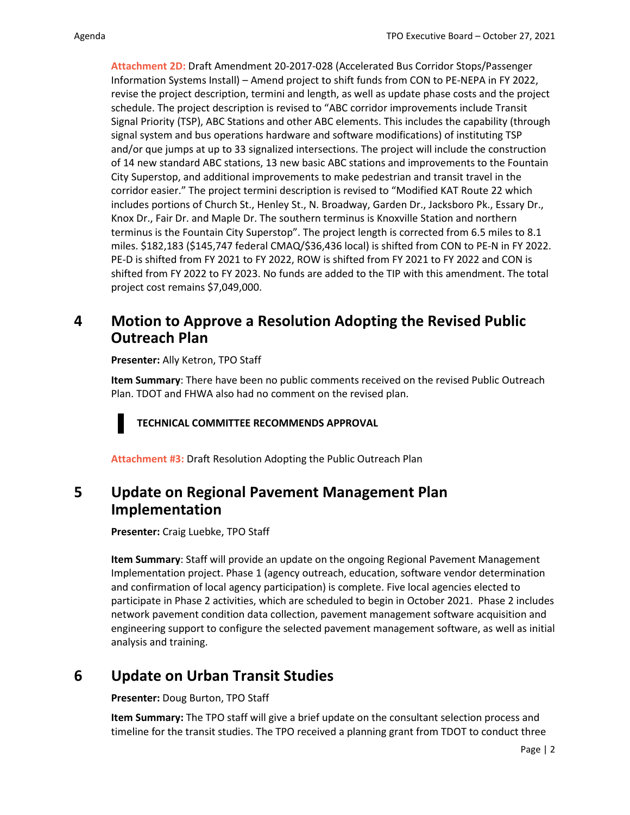**[Attachment 2D:](https://knoxtpo.org/home/meetings/exec/agendas/2021/october/2d.pdf)** Draft Amendment 20-2017-028 (Accelerated Bus Corridor Stops/Passenger Information Systems Install) – Amend project to shift funds from CON to PE-NEPA in FY 2022, revise the project description, termini and length, as well as update phase costs and the project schedule. The project description is revised to "ABC corridor improvements include Transit Signal Priority (TSP), ABC Stations and other ABC elements. This includes the capability (through signal system and bus operations hardware and software modifications) of instituting TSP and/or que jumps at up to 33 signalized intersections. The project will include the construction of 14 new standard ABC stations, 13 new basic ABC stations and improvements to the Fountain City Superstop, and additional improvements to make pedestrian and transit travel in the corridor easier." The project termini description is revised to "Modified KAT Route 22 which includes portions of Church St., Henley St., N. Broadway, Garden Dr., Jacksboro Pk., Essary Dr., Knox Dr., Fair Dr. and Maple Dr. The southern terminus is Knoxville Station and northern terminus is the Fountain City Superstop". The project length is corrected from 6.5 miles to 8.1 miles. \$182,183 (\$145,747 federal CMAQ/\$36,436 local) is shifted from CON to PE-N in FY 2022. PE-D is shifted from FY 2021 to FY 2022, ROW is shifted from FY 2021 to FY 2022 and CON is shifted from FY 2022 to FY 2023. No funds are added to the TIP with this amendment. The total project cost remains \$7,049,000.

## **4 Motion to Approve a Resolution Adopting the Revised Public Outreach Plan**

**Presenter:** Ally Ketron, TPO Staff

**Item Summary**: There have been no public comments received on the revised Public Outreach Plan. TDOT and FHWA also had no comment on the revised plan.

**TECHNICAL COMMITTEE RECOMMENDS APPROVAL**

**[Attachment #3:](https://knoxtpo.org/home/meetings/exec/agendas/2021/october/3.pdf)** Draft Resolution Adopting the Public Outreach Plan

#### **5 Update on Regional Pavement Management Plan Implementation**

**Presenter:** Craig Luebke, TPO Staff

**Item Summary**: Staff will provide an update on the ongoing Regional Pavement Management Implementation project. Phase 1 (agency outreach, education, software vendor determination and confirmation of local agency participation) is complete. Five local agencies elected to participate in Phase 2 activities, which are scheduled to begin in October 2021. Phase 2 includes network pavement condition data collection, pavement management software acquisition and engineering support to configure the selected pavement management software, as well as initial analysis and training.

## **6 Update on Urban Transit Studies**

**Presenter:** Doug Burton, TPO Staff

**Item Summary:** The TPO staff will give a brief update on the consultant selection process and timeline for the transit studies. The TPO received a planning grant from TDOT to conduct three